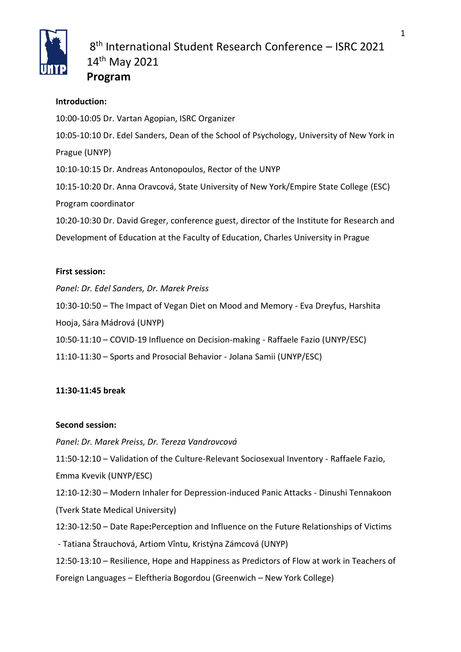

# 8<sup>th</sup> International Student Research Conference – ISRC 2021 14th May 2021 **Program**

# **Introduction:**

10:00-10:05 Dr. Vartan Agopian, ISRC Organizer 10:05-10:10 Dr. Edel Sanders, Dean of the School of Psychology, University of New York in Prague (UNYP) 10:10-10:15 Dr. Andreas Antonopoulos, Rector of the UNYP 10:15-10:20 Dr. Anna Oravcová, State University of New York/Empire State College (ESC) Program coordinator 10:20-10:30 Dr. David Greger, conference guest, director of the Institute for Research and Development of Education at the Faculty of Education, Charles University in Prague

## **First session:**

*Panel: Dr. Edel Sanders, Dr. Marek Preiss*

10:30-10:50 – The Impact of Vegan Diet on Mood and Memory - Eva Dreyfus, Harshita Hooja, Sára Mádrová (UNYP)

10:50-11:10 – COVID-19 Influence on Decision-making - Raffaele Fazio (UNYP/ESC)

11:10-11:30 – Sports and Prosocial Behavior - Jolana Samii (UNYP/ESC)

# **11:30-11:45 break**

# **Second session:**

*Panel: Dr. Marek Preiss, Dr. Tereza Vandrovcová*

11:50-12:10 – Validation of the Culture-Relevant Sociosexual Inventory - Raffaele Fazio,

Emma Kvevik (UNYP/ESC)

12:10-12:30 – Modern Inhaler for Depression-induced Panic Attacks - Dinushi Tennakoon (Tverk State Medical University)

12:30-12:50 – Date Rape**:**Perception and Influence on the Future Relationships of Victims

- Tatiana Štrauchová, Artiom Vîntu, Kristýna Zámcová (UNYP)

12:50-13:10 – Resilience, Hope and Happiness as Predictors of Flow at work in Teachers of

Foreign Languages – Eleftheria Bogordou (Greenwich – New York College)